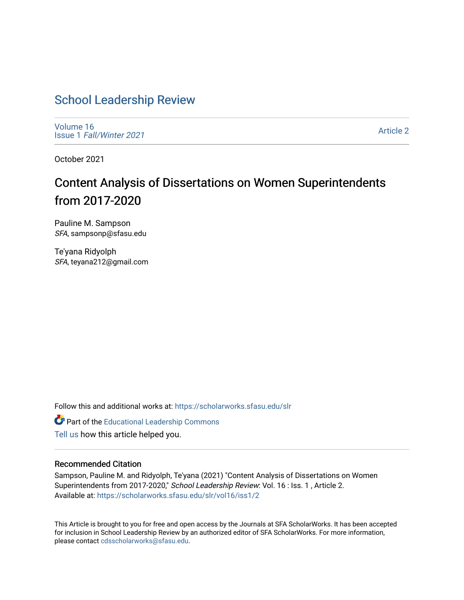# [School Leadership Review](https://scholarworks.sfasu.edu/slr)

[Volume 16](https://scholarworks.sfasu.edu/slr/vol16) Issue 1 [Fall/Winter 2021](https://scholarworks.sfasu.edu/slr/vol16/iss1) 

[Article 2](https://scholarworks.sfasu.edu/slr/vol16/iss1/2) 

October 2021

# Content Analysis of Dissertations on Women Superintendents from 2017-2020

Pauline M. Sampson SFA, sampsonp@sfasu.edu

Te'yana Ridyolph SFA, teyana212@gmail.com

Follow this and additional works at: [https://scholarworks.sfasu.edu/slr](https://scholarworks.sfasu.edu/slr?utm_source=scholarworks.sfasu.edu%2Fslr%2Fvol16%2Fiss1%2F2&utm_medium=PDF&utm_campaign=PDFCoverPages) 

Part of the [Educational Leadership Commons](http://network.bepress.com/hgg/discipline/1230?utm_source=scholarworks.sfasu.edu%2Fslr%2Fvol16%2Fiss1%2F2&utm_medium=PDF&utm_campaign=PDFCoverPages) 

[Tell us](http://sfasu.qualtrics.com/SE/?SID=SV_0qS6tdXftDLradv) how this article helped you.

#### Recommended Citation

Sampson, Pauline M. and Ridyolph, Te'yana (2021) "Content Analysis of Dissertations on Women Superintendents from 2017-2020," School Leadership Review: Vol. 16 : Iss. 1 , Article 2. Available at: [https://scholarworks.sfasu.edu/slr/vol16/iss1/2](https://scholarworks.sfasu.edu/slr/vol16/iss1/2?utm_source=scholarworks.sfasu.edu%2Fslr%2Fvol16%2Fiss1%2F2&utm_medium=PDF&utm_campaign=PDFCoverPages)

This Article is brought to you for free and open access by the Journals at SFA ScholarWorks. It has been accepted for inclusion in School Leadership Review by an authorized editor of SFA ScholarWorks. For more information, please contact [cdsscholarworks@sfasu.edu.](mailto:cdsscholarworks@sfasu.edu)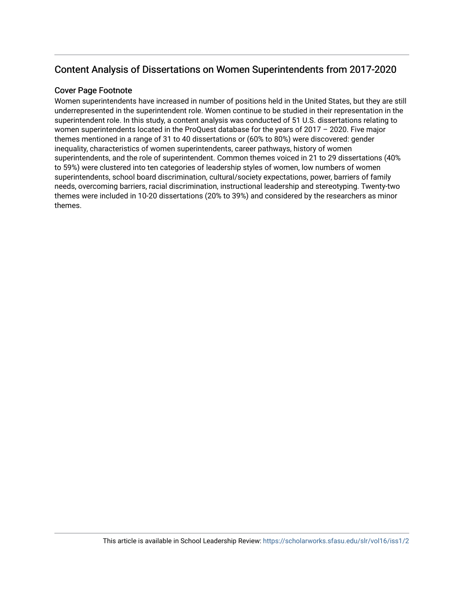## Content Analysis of Dissertations on Women Superintendents from 2017-2020

#### Cover Page Footnote

Women superintendents have increased in number of positions held in the United States, but they are still underrepresented in the superintendent role. Women continue to be studied in their representation in the superintendent role. In this study, a content analysis was conducted of 51 U.S. dissertations relating to women superintendents located in the ProQuest database for the years of 2017 – 2020. Five major themes mentioned in a range of 31 to 40 dissertations or (60% to 80%) were discovered: gender inequality, characteristics of women superintendents, career pathways, history of women superintendents, and the role of superintendent. Common themes voiced in 21 to 29 dissertations (40% to 59%) were clustered into ten categories of leadership styles of women, low numbers of women superintendents, school board discrimination, cultural/society expectations, power, barriers of family needs, overcoming barriers, racial discrimination, instructional leadership and stereotyping. Twenty-two themes were included in 10-20 dissertations (20% to 39%) and considered by the researchers as minor themes.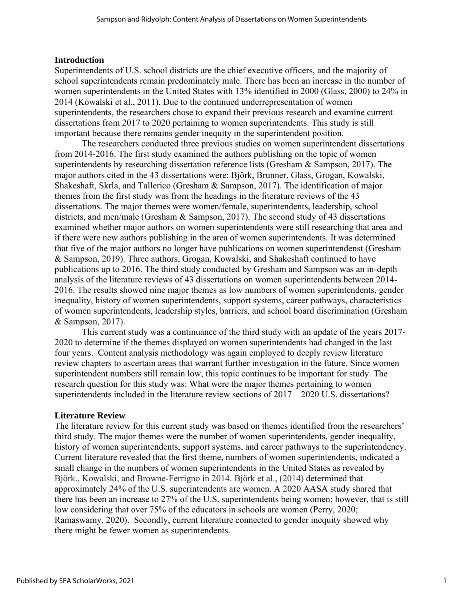#### **Introduction**

Superintendents of U.S. school districts are the chief executive officers, and the majority of school superintendents remain predominately male. There has been an increase in the number of women superintendents in the United States with 13% identified in 2000 (Glass, 2000) to 24% in 2014 (Kowalski et al., 2011). Due to the continued underrepresentation of women superintendents, the researchers chose to expand their previous research and examine current dissertations from 2017 to 2020 pertaining to women superintendents. This study is still important because there remains gender inequity in the superintendent position.

The researchers conducted three previous studies on women superintendent dissertations from 2014-2016. The first study examined the authors publishing on the topic of women superintendents by researching dissertation reference lists (Gresham & Sampson, 2017). The major authors cited in the 43 dissertations were: Björk, Brunner, Glass, Grogan, Kowalski, Shakeshaft, Skrla, and Tallerico (Gresham & Sampson, 2017). The identification of major themes from the first study was from the headings in the literature reviews of the 43 dissertations. The major themes were women/female, superintendents, leadership, school districts, and men/male (Gresham & Sampson, 2017). The second study of 43 dissertations examined whether major authors on women superintendents were still researching that area and if there were new authors publishing in the area of women superintendents. It was determined that five of the major authors no longer have publications on women superintendenst (Gresham & Sampson, 2019). Three authors, Grogan, Kowalski, and Shakeshaft continued to have publications up to 2016. The third study conducted by Gresham and Sampson was an in-depth analysis of the literature reviews of 43 dissertations on women superintendents between 2014- 2016. The results showed nine major themes as low numbers of women superintendents, gender inequality, history of women superintendents, support systems, career pathways, characteristics of women superintendents, leadership styles, barriers, and school board discrimination (Gresham & Sampson, 2017).

This current study was a continuance of the third study with an update of the years 2017- 2020 to determine if the themes displayed on women superintendents had changed in the last four years. Content analysis methodology was again employed to deeply review literature review chapters to ascertain areas that warrant further investigation in the future. Since women superintendent numbers still remain low, this topic continues to be important for study. The research question for this study was: What were the major themes pertaining to women superintendents included in the literature review sections of 2017 – 2020 U.S. dissertations?

#### **Literature Review**

The literature review for this current study was based on themes identified from the researchers' third study. The major themes were the number of women superintendents, gender inequality, history of women superintendents, support systems, and career pathways to the superintendency. Current literature revealed that the first theme, numbers of women superintendents, indicated a small change in the numbers of women superintendents in the United States as revealed by Björk., Kowalski, and Browne-Ferrigno in 2014. Björk et al., (2014) determined that approximately 24% of the U.S. superintendents are women. A 2020 AASA study shared that there has been an increase to 27% of the U.S. superintendents being women; however, that is still low considering that over 75% of the educators in schools are women (Perry, 2020; Ramaswamy, 2020). Secondly, current literature connected to gender inequity showed why there might be fewer women as superintendents.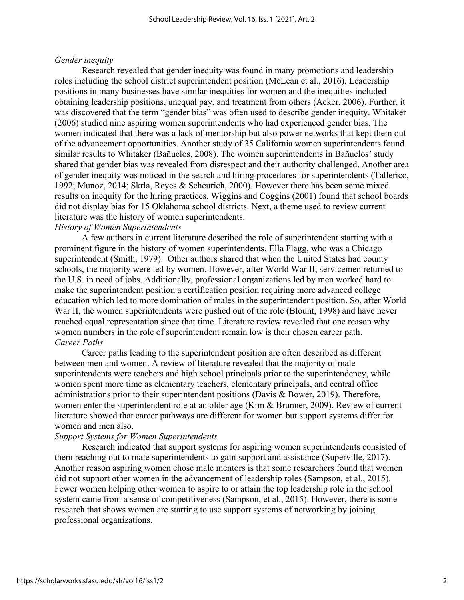#### *Gender inequity*

Research revealed that gender inequity was found in many promotions and leadership roles including the school district superintendent position (McLean et al., 2016). Leadership positions in many businesses have similar inequities for women and the inequities included obtaining leadership positions, unequal pay, and treatment from others (Acker, 2006). Further, it was discovered that the term "gender bias" was often used to describe gender inequity. Whitaker (2006) studied nine aspiring women superintendents who had experienced gender bias. The women indicated that there was a lack of mentorship but also power networks that kept them out of the advancement opportunities. Another study of 35 California women superintendents found similar results to Whitaker (Bañuelos, 2008). The women superintendents in Bañuelos' study shared that gender bias was revealed from disrespect and their authority challenged. Another area of gender inequity was noticed in the search and hiring procedures for superintendents (Tallerico, 1992; Munoz, 2014; Skrla, Reyes & Scheurich, 2000). However there has been some mixed results on inequity for the hiring practices. Wiggins and Coggins (2001) found that school boards did not display bias for 15 Oklahoma school districts. Next, a theme used to review current literature was the history of women superintendents.

#### *History of Women Superintendents*

A few authors in current literature described the role of superintendent starting with a prominent figure in the history of women superintendents, Ella Flagg, who was a Chicago superintendent (Smith, 1979). Other authors shared that when the United States had county schools, the majority were led by women. However, after World War II, servicemen returned to the U.S. in need of jobs. Additionally, professional organizations led by men worked hard to make the superintendent position a certification position requiring more advanced college education which led to more domination of males in the superintendent position. So, after World War II, the women superintendents were pushed out of the role (Blount, 1998) and have never reached equal representation since that time. Literature review revealed that one reason why women numbers in the role of superintendent remain low is their chosen career path. *Career Paths*

Career paths leading to the superintendent position are often described as different between men and women. A review of literature revealed that the majority of male superintendents were teachers and high school principals prior to the superintendency, while women spent more time as elementary teachers, elementary principals, and central office administrations prior to their superintendent positions (Davis & Bower, 2019). Therefore, women enter the superintendent role at an older age (Kim & Brunner, 2009). Review of current literature showed that career pathways are different for women but support systems differ for women and men also.

#### *Support Systems for Women Superintendents*

Research indicated that support systems for aspiring women superintendents consisted of them reaching out to male superintendents to gain support and assistance (Superville, 2017). Another reason aspiring women chose male mentors is that some researchers found that women did not support other women in the advancement of leadership roles (Sampson, et al., 2015). Fewer women helping other women to aspire to or attain the top leadership role in the school system came from a sense of competitiveness (Sampson, et al., 2015). However, there is some research that shows women are starting to use support systems of networking by joining professional organizations.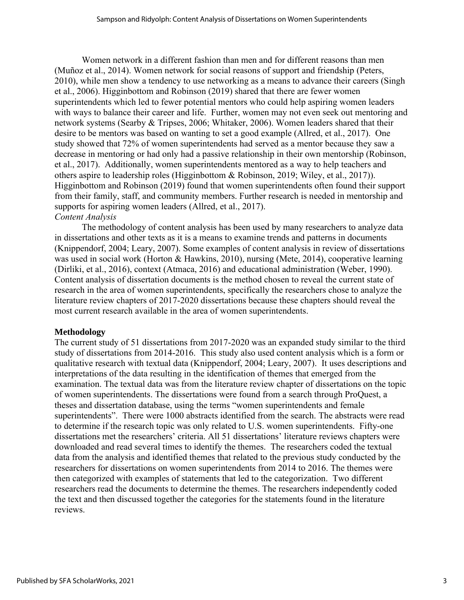Women network in a different fashion than men and for different reasons than men (Muñoz et al., 2014). Women network for social reasons of support and friendship (Peters, 2010), while men show a tendency to use networking as a means to advance their careers (Singh et al., 2006). Higginbottom and Robinson (2019) shared that there are fewer women superintendents which led to fewer potential mentors who could help aspiring women leaders with ways to balance their career and life. Further, women may not even seek out mentoring and network systems (Searby & Tripses, 2006; Whitaker, 2006). Women leaders shared that their desire to be mentors was based on wanting to set a good example (Allred, et al., 2017). One study showed that 72% of women superintendents had served as a mentor because they saw a decrease in mentoring or had only had a passive relationship in their own mentorship (Robinson, et al., 2017). Additionally, women superintendents mentored as a way to help teachers and others aspire to leadership roles (Higginbottom & Robinson, 2019; Wiley, et al., 2017)). Higginbottom and Robinson (2019) found that women superintendents often found their support from their family, staff, and community members. Further research is needed in mentorship and supports for aspiring women leaders (Allred, et al., 2017). *Content Analysis*

The methodology of content analysis has been used by many researchers to analyze data in dissertations and other texts as it is a means to examine trends and patterns in documents (Knippendorf, 2004; Leary, 2007). Some examples of content analysis in review of dissertations was used in social work (Horton & Hawkins, 2010), nursing (Mete, 2014), cooperative learning (Dirliki, et al., 2016), context (Atmaca, 2016) and educational administration (Weber, 1990). Content analysis of dissertation documents is the method chosen to reveal the current state of research in the area of women superintendents, specifically the researchers chose to analyze the literature review chapters of 2017-2020 dissertations because these chapters should reveal the most current research available in the area of women superintendents.

#### **Methodology**

The current study of 51 dissertations from 2017-2020 was an expanded study similar to the third study of dissertations from 2014-2016. This study also used content analysis which is a form or qualitative research with textual data (Knippendorf, 2004; Leary, 2007). It uses descriptions and interpretations of the data resulting in the identification of themes that emerged from the examination. The textual data was from the literature review chapter of dissertations on the topic of women superintendents. The dissertations were found from a search through ProQuest, a theses and dissertation database, using the terms "women superintendents and female superintendents". There were 1000 abstracts identified from the search. The abstracts were read to determine if the research topic was only related to U.S. women superintendents. Fifty-one dissertations met the researchers' criteria. All 51 dissertations' literature reviews chapters were downloaded and read several times to identify the themes. The researchers coded the textual data from the analysis and identified themes that related to the previous study conducted by the researchers for dissertations on women superintendents from 2014 to 2016. The themes were then categorized with examples of statements that led to the categorization. Two different researchers read the documents to determine the themes. The researchers independently coded the text and then discussed together the categories for the statements found in the literature reviews.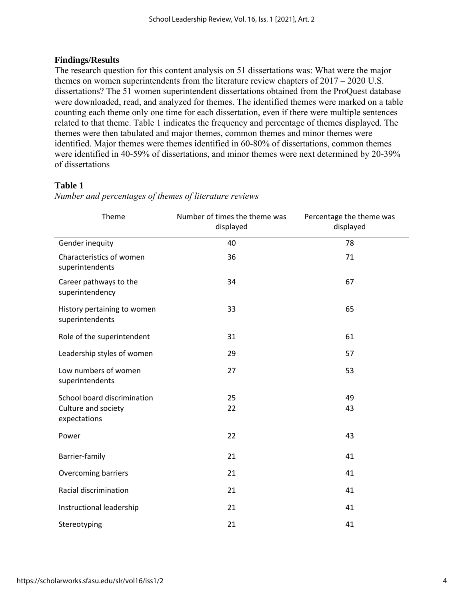#### **Findings/Results**

The research question for this content analysis on 51 dissertations was: What were the major themes on women superintendents from the literature review chapters of 2017 – 2020 U.S. dissertations? The 51 women superintendent dissertations obtained from the ProQuest database were downloaded, read, and analyzed for themes. The identified themes were marked on a table counting each theme only one time for each dissertation, even if there were multiple sentences related to that theme. Table 1 indicates the frequency and percentage of themes displayed. The themes were then tabulated and major themes, common themes and minor themes were identified. Major themes were themes identified in 60-80% of dissertations, common themes were identified in 40-59% of dissertations, and minor themes were next determined by 20-39% of dissertations

### **Table 1**

| Theme                                          | Number of times the theme was<br>displayed | Percentage the theme was<br>displayed |  |
|------------------------------------------------|--------------------------------------------|---------------------------------------|--|
| Gender inequity                                | 40                                         | 78                                    |  |
| Characteristics of women<br>superintendents    | 36                                         | 71                                    |  |
| Career pathways to the<br>superintendency      | 34                                         | 67                                    |  |
| History pertaining to women<br>superintendents | 33                                         | 65                                    |  |
| Role of the superintendent                     | 31                                         | 61                                    |  |
| Leadership styles of women                     | 29                                         | 57                                    |  |
| Low numbers of women<br>superintendents        | 27                                         | 53                                    |  |
| School board discrimination                    | 25                                         | 49                                    |  |
| Culture and society<br>expectations            | 22                                         | 43                                    |  |
| Power                                          | 22                                         | 43                                    |  |
| Barrier-family                                 | 21                                         | 41                                    |  |
| Overcoming barriers                            | 21                                         | 41                                    |  |
| Racial discrimination                          | 21                                         | 41                                    |  |
| Instructional leadership                       | 21                                         | 41                                    |  |
| Stereotyping                                   | 21                                         | 41                                    |  |

*Number and percentages of themes of literature reviews*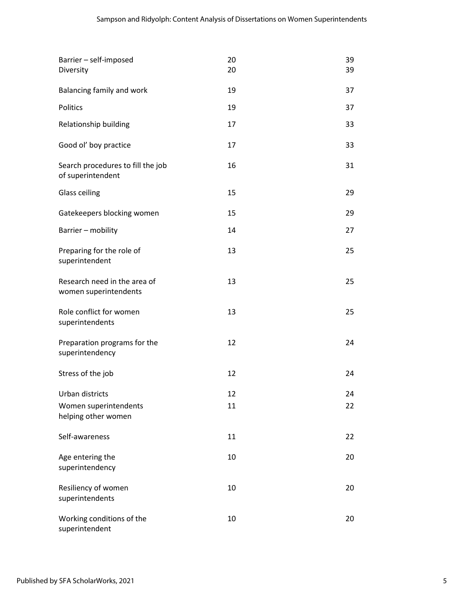| Barrier - self-imposed<br>Diversity                    | 20<br>20 | 39<br>39 |
|--------------------------------------------------------|----------|----------|
| Balancing family and work                              | 19       | 37       |
| Politics                                               | 19       | 37       |
| Relationship building                                  | 17       | 33       |
| Good ol' boy practice                                  | 17       | 33       |
| Search procedures to fill the job<br>of superintendent | 16       | 31       |
| <b>Glass ceiling</b>                                   | 15       | 29       |
| Gatekeepers blocking women                             | 15       | 29       |
| Barrier - mobility                                     | 14       | 27       |
| Preparing for the role of<br>superintendent            | 13       | 25       |
| Research need in the area of<br>women superintendents  | 13       | 25       |
| Role conflict for women<br>superintendents             | 13       | 25       |
| Preparation programs for the<br>superintendency        | 12       | 24       |
| Stress of the job                                      | 12       | 24       |
| Urban districts                                        | 12       | 24       |
| Women superintendents<br>helping other women           | 11       | 22       |
| Self-awareness                                         | 11       | 22       |
| Age entering the<br>superintendency                    | 10       | 20       |
| Resiliency of women<br>superintendents                 | 10       | 20       |
| Working conditions of the<br>superintendent            | 10       | 20       |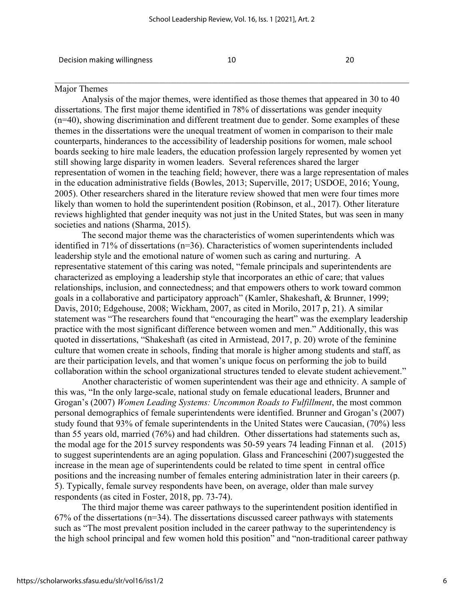Decision making willingness 10 20

\_\_\_\_\_\_\_\_\_\_\_\_\_\_\_\_\_\_\_\_\_\_\_\_\_\_\_\_\_\_\_\_\_\_\_\_\_\_\_\_\_\_\_\_\_\_\_\_\_\_\_\_\_\_\_\_\_\_\_\_\_\_\_\_\_\_\_\_\_\_\_\_\_\_\_\_\_\_

#### Major Themes

Analysis of the major themes, were identified as those themes that appeared in 30 to 40 dissertations. The first major theme identified in 78% of dissertations was gender inequity (n=40), showing discrimination and different treatment due to gender. Some examples of these themes in the dissertations were the unequal treatment of women in comparison to their male counterparts, hinderances to the accessibility of leadership positions for women, male school boards seeking to hire male leaders, the education profession largely represented by women yet still showing large disparity in women leaders. Several references shared the larger representation of women in the teaching field; however, there was a large representation of males in the education administrative fields (Bowles, 2013; Superville, 2017; USDOE, 2016; Young, 2005). Other researchers shared in the literature review showed that men were four times more likely than women to hold the superintendent position (Robinson, et al., 2017). Other literature reviews highlighted that gender inequity was not just in the United States, but was seen in many societies and nations (Sharma, 2015).

The second major theme was the characteristics of women superintendents which was identified in 71% of dissertations (n=36). Characteristics of women superintendents included leadership style and the emotional nature of women such as caring and nurturing. A representative statement of this caring was noted, "female principals and superintendents are characterized as employing a leadership style that incorporates an ethic of care; that values relationships, inclusion, and connectedness; and that empowers others to work toward common goals in a collaborative and participatory approach" (Kamler, Shakeshaft, & Brunner, 1999; Davis, 2010; Edgehouse, 2008; Wickham, 2007, as cited in Morilo, 2017 p, 21). A similar statement was "The researchers found that "encouraging the heart" was the exemplary leadership practice with the most significant difference between women and men." Additionally, this was quoted in dissertations, "Shakeshaft (as cited in Armistead, 2017, p. 20) wrote of the feminine culture that women create in schools, finding that morale is higher among students and staff, as are their participation levels, and that women's unique focus on performing the job to build collaboration within the school organizational structures tended to elevate student achievement."

Another characteristic of women superintendent was their age and ethnicity. A sample of this was, "In the only large-scale, national study on female educational leaders, Brunner and Grogan's (2007) *Women Leading Systems: Uncommon Roads to Fulfillment*, the most common personal demographics of female superintendents were identified. Brunner and Grogan's (2007) study found that 93% of female superintendents in the United States were Caucasian, (70%) less than 55 years old, married (76%) and had children. Other dissertations had statements such as, the modal age for the 2015 survey respondents was 50-59 years 74 leading Finnan et al. (2015) to suggest superintendents are an aging population. Glass and Franceschini (2007)suggested the increase in the mean age of superintendents could be related to time spent in central office positions and the increasing number of females entering administration later in their careers (p. 5). Typically, female survey respondents have been, on average, older than male survey respondents (as cited in Foster, 2018, pp. 73-74).

The third major theme was career pathways to the superintendent position identified in  $67\%$  of the dissertations ( $n=34$ ). The dissertations discussed career pathways with statements such as "The most prevalent position included in the career pathway to the superintendency is the high school principal and few women hold this position" and "non-traditional career pathway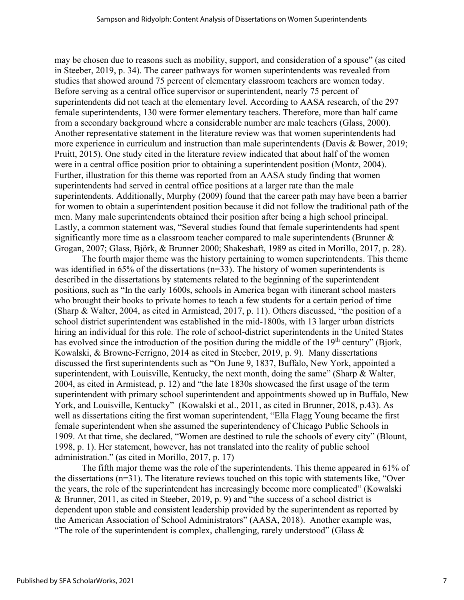may be chosen due to reasons such as mobility, support, and consideration of a spouse" (as cited in Steeber, 2019, p. 34). The career pathways for women superintendents was revealed from studies that showed around 75 percent of elementary classroom teachers are women today. Before serving as a central office supervisor or superintendent, nearly 75 percent of superintendents did not teach at the elementary level. According to AASA research, of the 297 female superintendents, 130 were former elementary teachers. Therefore, more than half came from a secondary background where a considerable number are male teachers (Glass, 2000). Another representative statement in the literature review was that women superintendents had more experience in curriculum and instruction than male superintendents (Davis & Bower, 2019; Pruitt, 2015). One study cited in the literature review indicated that about half of the women were in a central office position prior to obtaining a superintendent position (Montz, 2004). Further, illustration for this theme was reported from an AASA study finding that women superintendents had served in central office positions at a larger rate than the male superintendents. Additionally, Murphy (2009) found that the career path may have been a barrier for women to obtain a superintendent position because it did not follow the traditional path of the men. Many male superintendents obtained their position after being a high school principal. Lastly, a common statement was, "Several studies found that female superintendents had spent significantly more time as a classroom teacher compared to male superintendents (Brunner & Grogan, 2007; Glass, Björk, & Brunner 2000; Shakeshaft, 1989 as cited in Morillo, 2017, p. 28).

The fourth major theme was the history pertaining to women superintendents. This theme was identified in 65% of the dissertations (n=33). The history of women superintendents is described in the dissertations by statements related to the beginning of the superintendent positions, such as "In the early 1600s, schools in America began with itinerant school masters who brought their books to private homes to teach a few students for a certain period of time (Sharp & Walter, 2004, as cited in Armistead, 2017, p. 11). Others discussed, "the position of a school district superintendent was established in the mid-1800s, with 13 larger urban districts hiring an individual for this role. The role of school-district superintendents in the United States has evolved since the introduction of the position during the middle of the 19<sup>th</sup> century" (Bjork, Kowalski, & Browne-Ferrigno, 2014 as cited in Steeber, 2019, p. 9). Many dissertations discussed the first superintendents such as "On June 9, 1837, Buffalo, New York, appointed a superintendent, with Louisville, Kentucky, the next month, doing the same" (Sharp & Walter, 2004, as cited in Armistead, p. 12) and "the late 1830s showcased the first usage of the term superintendent with primary school superintendent and appointments showed up in Buffalo, New York, and Louisville, Kentucky" (Kowalski et al., 2011, as cited in Brunner, 2018, p.43). As well as dissertations citing the first woman superintendent, "Ella Flagg Young became the first female superintendent when she assumed the superintendency of Chicago Public Schools in 1909. At that time, she declared, "Women are destined to rule the schools of every city" (Blount, 1998, p. 1). Her statement, however, has not translated into the reality of public school administration." (as cited in Morillo, 2017, p. 17)

The fifth major theme was the role of the superintendents. This theme appeared in 61% of the dissertations (n=31). The literature reviews touched on this topic with statements like, "Over the years, the role of the superintendent has increasingly become more complicated" (Kowalski & Brunner, 2011, as cited in Steeber, 2019, p. 9) and "the success of a school district is dependent upon stable and consistent leadership provided by the superintendent as reported by the American Association of School Administrators" (AASA, 2018). Another example was, "The role of the superintendent is complex, challenging, rarely understood" (Glass  $\&$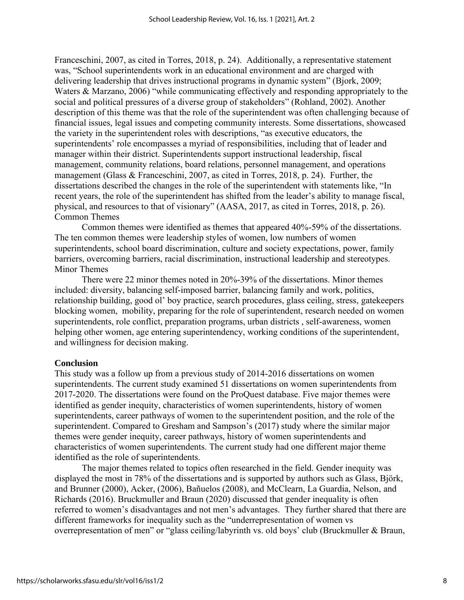Franceschini, 2007, as cited in Torres, 2018, p. 24). Additionally, a representative statement was, "School superintendents work in an educational environment and are charged with delivering leadership that drives instructional programs in dynamic system" (Bjork, 2009; Waters & Marzano, 2006) "while communicating effectively and responding appropriately to the social and political pressures of a diverse group of stakeholders" (Rohland, 2002). Another description of this theme was that the role of the superintendent was often challenging because of financial issues, legal issues and competing community interests. Some dissertations, showcased the variety in the superintendent roles with descriptions, "as executive educators, the superintendents' role encompasses a myriad of responsibilities, including that of leader and manager within their district. Superintendents support instructional leadership, fiscal management, community relations, board relations, personnel management, and operations management (Glass & Franceschini, 2007, as cited in Torres, 2018, p. 24). Further, the dissertations described the changes in the role of the superintendent with statements like, "In recent years, the role of the superintendent has shifted from the leader's ability to manage fiscal, physical, and resources to that of visionary" (AASA, 2017, as cited in Torres, 2018, p. 26). Common Themes

Common themes were identified as themes that appeared 40%-59% of the dissertations. The ten common themes were leadership styles of women, low numbers of women superintendents, school board discrimination, culture and society expectations, power, family barriers, overcoming barriers, racial discrimination, instructional leadership and stereotypes. Minor Themes

There were 22 minor themes noted in 20%-39% of the dissertations. Minor themes included: diversity, balancing self-imposed barrier, balancing family and work, politics, relationship building, good ol' boy practice, search procedures, glass ceiling, stress, gatekeepers blocking women, mobility, preparing for the role of superintendent, research needed on women superintendents, role conflict, preparation programs, urban districts , self-awareness, women helping other women, age entering superintendency, working conditions of the superintendent, and willingness for decision making.

#### **Conclusion**

This study was a follow up from a previous study of 2014-2016 dissertations on women superintendents. The current study examined 51 dissertations on women superintendents from 2017-2020. The dissertations were found on the ProQuest database. Five major themes were identified as gender inequity, characteristics of women superintendents, history of women superintendents, career pathways of women to the superintendent position, and the role of the superintendent. Compared to Gresham and Sampson's (2017) study where the similar major themes were gender inequity, career pathways, history of women superintendents and characteristics of women superintendents. The current study had one different major theme identified as the role of superintendents.

The major themes related to topics often researched in the field. Gender inequity was displayed the most in 78% of the dissertations and is supported by authors such as Glass, Björk, and Brunner (2000), Acker, (2006), Bañuelos (2008), and McClearn, La Guardia, Nelson, and Richards (2016). Bruckmuller and Braun (2020) discussed that gender inequality is often referred to women's disadvantages and not men's advantages. They further shared that there are different frameworks for inequality such as the "underrepresentation of women vs overrepresentation of men" or "glass ceiling/labyrinth vs. old boys' club (Bruckmuller & Braun,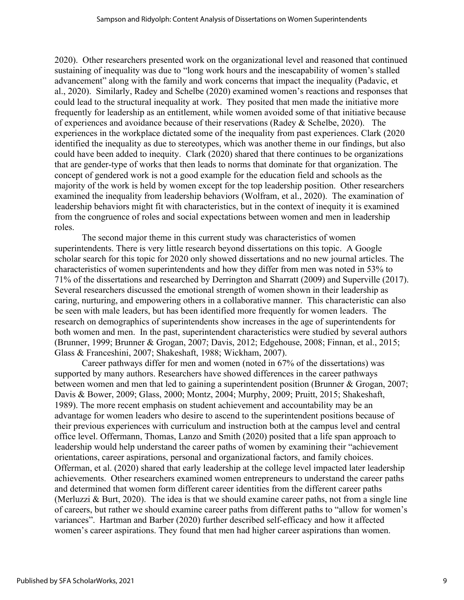2020). Other researchers presented work on the organizational level and reasoned that continued sustaining of inequality was due to "long work hours and the inescapability of women's stalled advancement" along with the family and work concerns that impact the inequality (Padavic, et al., 2020). Similarly, Radey and Schelbe (2020) examined women's reactions and responses that could lead to the structural inequality at work. They posited that men made the initiative more frequently for leadership as an entitlement, while women avoided some of that initiative because of experiences and avoidance because of their reservations (Radey & Schelbe, 2020). The experiences in the workplace dictated some of the inequality from past experiences. Clark (2020 identified the inequality as due to stereotypes, which was another theme in our findings, but also could have been added to inequity. Clark (2020) shared that there continues to be organizations that are gender-type of works that then leads to norms that dominate for that organization. The concept of gendered work is not a good example for the education field and schools as the majority of the work is held by women except for the top leadership position. Other researchers examined the inequality from leadership behaviors (Wolfram, et al., 2020). The examination of leadership behaviors might fit with characteristics, but in the context of inequity it is examined from the congruence of roles and social expectations between women and men in leadership roles.

The second major theme in this current study was characteristics of women superintendents. There is very little research beyond dissertations on this topic. A Google scholar search for this topic for 2020 only showed dissertations and no new journal articles. The characteristics of women superintendents and how they differ from men was noted in 53% to 71% of the dissertations and researched by Derrington and Sharratt (2009) and Superville (2017). Several researchers discussed the emotional strength of women shown in their leadership as caring, nurturing, and empowering others in a collaborative manner. This characteristic can also be seen with male leaders, but has been identified more frequently for women leaders. The research on demographics of superintendents show increases in the age of superintendents for both women and men. In the past, superintendent characteristics were studied by several authors (Brunner, 1999; Brunner & Grogan, 2007; Davis, 2012; Edgehouse, 2008; Finnan, et al., 2015; Glass & Franceshini, 2007; Shakeshaft, 1988; Wickham, 2007).

Career pathways differ for men and women (noted in 67% of the dissertations) was supported by many authors. Researchers have showed differences in the career pathways between women and men that led to gaining a superintendent position (Brunner & Grogan, 2007; Davis & Bower, 2009; Glass, 2000; Montz, 2004; Murphy, 2009; Pruitt, 2015; Shakeshaft, 1989). The more recent emphasis on student achievement and accountability may be an advantage for women leaders who desire to ascend to the superintendent positions because of their previous experiences with curriculum and instruction both at the campus level and central office level. Offermann, Thomas, Lanzo and Smith (2020) posited that a life span approach to leadership would help understand the career paths of women by examining their "achievement orientations, career aspirations, personal and organizational factors, and family choices. Offerman, et al. (2020) shared that early leadership at the college level impacted later leadership achievements. Other researchers examined women entrepreneurs to understand the career paths and determined that women form different career identities from the different career paths (Merluzzi & Burt, 2020). The idea is that we should examine career paths, not from a single line of careers, but rather we should examine career paths from different paths to "allow for women's variances". Hartman and Barber (2020) further described self-efficacy and how it affected women's career aspirations. They found that men had higher career aspirations than women.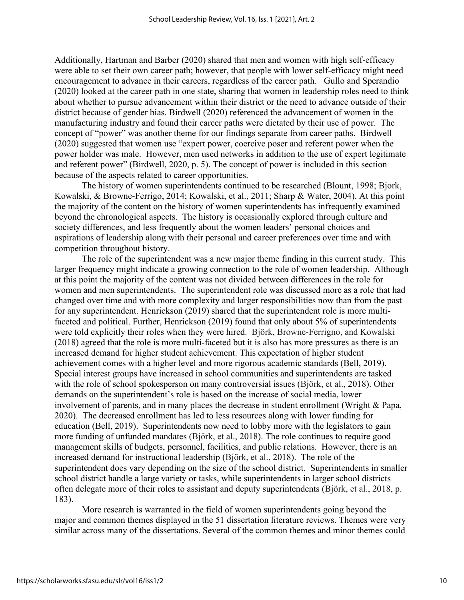Additionally, Hartman and Barber (2020) shared that men and women with high self-efficacy were able to set their own career path; however, that people with lower self-efficacy might need encouragement to advance in their careers, regardless of the career path. Gullo and Sperandio (2020) looked at the career path in one state, sharing that women in leadership roles need to think about whether to pursue advancement within their district or the need to advance outside of their district because of gender bias. Birdwell (2020) referenced the advancement of women in the manufacturing industry and found their career paths were dictated by their use of power. The concept of "power" was another theme for our findings separate from career paths. Birdwell (2020) suggested that women use "expert power, coercive poser and referent power when the power holder was male. However, men used networks in addition to the use of expert legitimate and referent power" (Birdwell, 2020, p. 5). The concept of power is included in this section because of the aspects related to career opportunities.

The history of women superintendents continued to be researched (Blount, 1998; Bjork, Kowalski, & Browne-Ferrigo, 2014; Kowalski, et al., 2011; Sharp & Water, 2004). At this point the majority of the content on the history of women superintendents has infrequently examined beyond the chronological aspects. The history is occasionally explored through culture and society differences, and less frequently about the women leaders' personal choices and aspirations of leadership along with their personal and career preferences over time and with competition throughout history.

The role of the superintendent was a new major theme finding in this current study. This larger frequency might indicate a growing connection to the role of women leadership. Although at this point the majority of the content was not divided between differences in the role for women and men superintendents. The superintendent role was discussed more as a role that had changed over time and with more complexity and larger responsibilities now than from the past for any superintendent. Henrickson (2019) shared that the superintendent role is more multifaceted and political. Further, Henrickson (2019) found that only about 5% of superintendents were told explicitly their roles when they were hired. Björk, Browne-Ferrigno, and Kowalski (2018) agreed that the role is more multi-faceted but it is also has more pressures as there is an increased demand for higher student achievement. This expectation of higher student achievement comes with a higher level and more rigorous academic standards (Bell, 2019). Special interest groups have increased in school communities and superintendents are tasked with the role of school spokesperson on many controversial issues (Björk, et al., 2018). Other demands on the superintendent's role is based on the increase of social media, lower involvement of parents, and in many places the decrease in student enrollment (Wright & Papa, 2020). The decreased enrollment has led to less resources along with lower funding for education (Bell, 2019). Superintendents now need to lobby more with the legislators to gain more funding of unfunded mandates (Björk, et al., 2018). The role continues to require good management skills of budgets, personnel, facilities, and public relations. However, there is an increased demand for instructional leadership (Björk, et al., 2018). The role of the superintendent does vary depending on the size of the school district. Superintendents in smaller school district handle a large variety or tasks, while superintendents in larger school districts often delegate more of their roles to assistant and deputy superintendents (Björk, et al., 2018, p. 183).

More research is warranted in the field of women superintendents going beyond the major and common themes displayed in the 51 dissertation literature reviews. Themes were very similar across many of the dissertations. Several of the common themes and minor themes could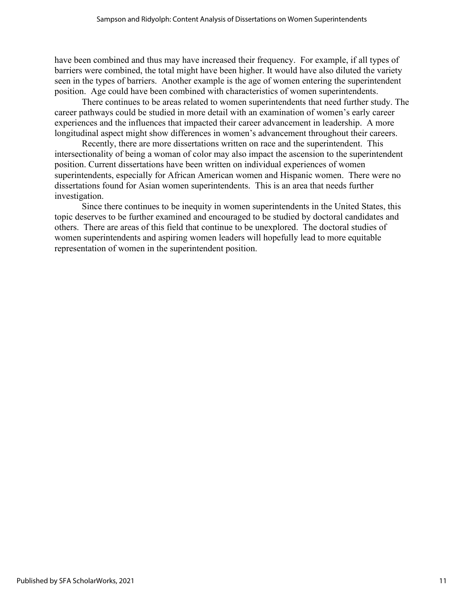have been combined and thus may have increased their frequency. For example, if all types of barriers were combined, the total might have been higher. It would have also diluted the variety seen in the types of barriers. Another example is the age of women entering the superintendent position. Age could have been combined with characteristics of women superintendents.

There continues to be areas related to women superintendents that need further study. The career pathways could be studied in more detail with an examination of women's early career experiences and the influences that impacted their career advancement in leadership. A more longitudinal aspect might show differences in women's advancement throughout their careers.

Recently, there are more dissertations written on race and the superintendent. This intersectionality of being a woman of color may also impact the ascension to the superintendent position. Current dissertations have been written on individual experiences of women superintendents, especially for African American women and Hispanic women. There were no dissertations found for Asian women superintendents. This is an area that needs further investigation.

Since there continues to be inequity in women superintendents in the United States, this topic deserves to be further examined and encouraged to be studied by doctoral candidates and others. There are areas of this field that continue to be unexplored. The doctoral studies of women superintendents and aspiring women leaders will hopefully lead to more equitable representation of women in the superintendent position.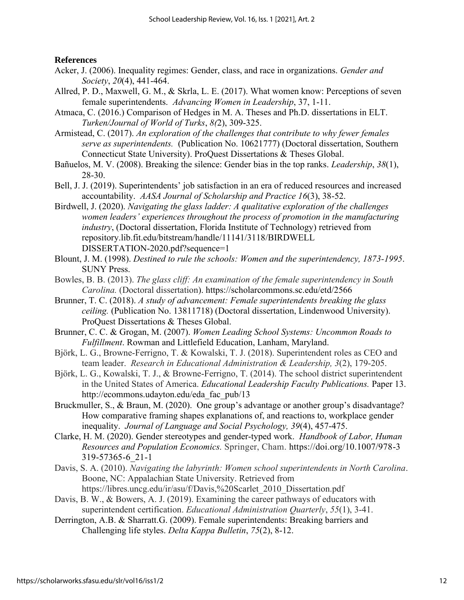#### **References**

- Acker, J. (2006). Inequality regimes: Gender, class, and race in organizations. *Gender and Society*, *20*(4), 441-464.
- Allred, P. D., Maxwell, G. M., & Skrla, L. E. (2017). What women know: Perceptions of seven female superintendents. *Advancing Women in Leadership*, 37, 1-11.
- Atmaca, C. (2016.) Comparison of Hedges in M. A. Theses and Ph.D. dissertations in ELT. *Turken/Journal of World of Turks*, *8(*2), 309-325.
- Armistead, C. (2017). *An exploration of the challenges that contribute to why fewer females serve as superintendents.* (Publication No. 10621777) (Doctoral dissertation, Southern Connecticut State University). ProQuest Dissertations & Theses Global.
- Bañuelos, M. V. (2008). Breaking the silence: Gender bias in the top ranks. *Leadership*, *38*(1), 28-30.
- Bell, J. J. (2019). Superintendents' job satisfaction in an era of reduced resources and increased accountability. *AASA Journal of Scholarship and Practice 16*(3), 38-52.
- Birdwell, J. (2020). *Navigating the glass ladder: A qualitative exploration of the challenges women leaders' experiences throughout the process of promotion in the manufacturing industry*, (Doctoral dissertation, Florida Institute of Technology) retrieved from repository.lib.fit.edu/bitstream/handle/11141/3118/BIRDWELL DISSERTATION-2020.pdf?sequence=1
- Blount, J. M. (1998). *Destined to rule the schools: Women and the superintendency, 1873-1995*. SUNY Press.
- Bowles, B. B. (2013). *The glass cliff: An examination of the female superintendency in South Carolina.* (Doctoral dissertation). <https://scholarcommons.sc.edu/etd/2566>
- Brunner, T. C. (2018). *A study of advancement: Female superintendents breaking the glass ceiling.* (Publication No. 13811718) (Doctoral dissertation, Lindenwood University). ProQuest Dissertations & Theses Global.
- Brunner, C. C. & Grogan, M. (2007). *Women Leading School Systems: Uncommon Roads to Fulfillment*. Rowman and Littlefield Education, Lanham, Maryland.
- Björk, L. G., Browne-Ferrigno, T. & Kowalski, T. J. (2018). Superintendent roles as CEO and team leader. *Research in Educational Administration & Leadership, 3*(2), 179-205.
- Björk, L. G., Kowalski, T. J., & Browne-Ferrigno, T. (2014). The school district superintendent in the United States of America. *Educational Leadership Faculty Publications.* Paper 13. http://ecommons.udayton.edu/eda\_fac\_pub/13
- Bruckmuller, S., & Braun, M. (2020). One group's advantage or another group's disadvantage? How comparative framing shapes explanations of, and reactions to, workplace gender inequality. *Journal of Language and Social Psychology, 39*(4), 457-475.
- Clarke, H. M. (2020). Gender stereotypes and gender-typed work. *Handbook of Labor, Human Resources and Population Economics.* Springer, Cham.<https://doi.org/10.1007/978-3> 319-57365-6\_21-1
- Davis, S. A. (2010). *Navigating the labyrinth: Women school superintendents in North Carolina*. Boone, NC: Appalachian State University. Retrieved from https://libres.uncg.edu/ir/asu/f/Davis,%20Scarlet\_2010\_Dissertation.pdf
- Davis, B. W., & Bowers, A. J. (2019). Examining the career pathways of educators with superintendent certification. *Educational Administration Quarterly*, *55*(1), 3-41.
- Derrington, A.B. & Sharratt.G. (2009). Female superintendents: Breaking barriers and Challenging life styles. *Delta Kappa Bulletin*, *75*(2), 8-12.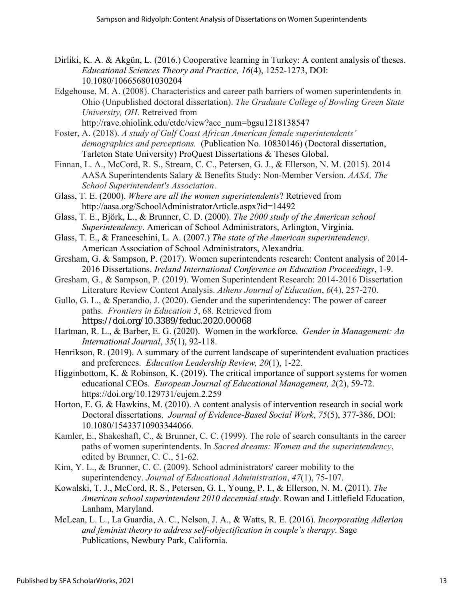- Dirliki, K. A. & Akgün, L. (2016.) Cooperative learning in Turkey: A content analysis of theses. *Educational Sciences Theory and Practice, 16*(4), 1252-1273, DOI: 10.1080/106656801030204
- Edgehouse, M. A. (2008). Characteristics and career path barriers of women superintendents in Ohio (Unpublished doctoral dissertation). *The Graduate College of Bowling Green State University, OH*. Retreived from
	- [http://rave.ohiolink.edu/etdc/view?acc\\_num=bgsu1218138547](http://rave.ohiolink.edu/etdc/view?acc_num=bgsu1218138547)
- Foster, A. (2018). *A study of Gulf Coast African American female superintendents' demographics and perceptions.* (Publication No. 10830146) (Doctoral dissertation, Tarleton State University) ProQuest Dissertations & Theses Global.
- Finnan, L. A., McCord, R. S., Stream, C. C., Petersen, G. J., & Ellerson, N. M. (2015). 2014 AASA Superintendents Salary & Benefits Study: Non-Member Version. *AASA, The School Superintendent's Association*.
- Glass, T. E. (2000). *Where are all the women superintendents*? Retrieved from <http://aasa.org/SchoolAdministratorArticle.aspx?id=14492>
- Glass, T. E., Björk, L., & Brunner, C. D. (2000). *The 2000 study of the American school Superintendency*. American of School Administrators, Arlington, Virginia.
- Glass, T. E., & Franceschini, L. A. (2007.) *The state of the American superintendency*. American Association of School Administrators, Alexandria.
- Gresham, G. & Sampson, P. (2017). Women superintendents research: Content analysis of 2014- 2016 Dissertations. *Ireland International Conference on Education Proceedings*, 1-9.
- Gresham, G., & Sampson, P. (2019). Women Superintendent Research: 2014-2016 Dissertation Literature Review Content Analysis. *Athens Journal of Education*, *6*(4), 257-270.
- Gullo, G. L., & Sperandio, J. (2020). Gender and the superintendency: The power of career paths. *Frontiers in Education 5*, 68. Retrieved from <https://doi.org/10.3389/feduc.2020.00068>
- Hartman, R. L., & Barber, E. G. (2020). Women in the workforce. *Gender in Management: An International Journal*, *35*(1), 92-118.
- Henrikson, R. (2019). A summary of the current landscape of superintendent evaluation practices and preferences. *Education Leadership Review, 20*(1), 1-22.
- Higginbottom, K. & Robinson, K. (2019). The critical importance of support systems for women educational CEOs. *European Journal of Educational Management, 2*(2), 59-72. https://doi.org/10.129731/eujem.2.259
- Horton, E. G. & Hawkins, M. (2010). A content analysis of intervention research in social work Doctoral dissertations. *Journal of Evidence-Based Social Work*, *75*(5), 377-386, DOI: 10.1080/15433710903344066.
- Kamler, E., Shakeshaft, C., & Brunner, C. C. (1999). The role of search consultants in the career paths of women superintendents. In *Sacred dreams: Women and the superintendency*, edited by Brunner, C. C., 51-62.
- Kim, Y. L., & Brunner, C. C. (2009). School administrators' career mobility to the superintendency. *Journal of Educational Administration*, *47*(1), 75-107.
- Kowalski, T. J., McCord, R. S., Petersen, G. I., Young, P. I., & Ellerson, N. M. (2011). *The American school superintendent 2010 decennial study*. Rowan and Littlefield Education, Lanham, Maryland.
- McLean, L. L., La Guardia, A. C., Nelson, J. A., & Watts, R. E. (2016). *Incorporating Adlerian and feminist theory to address self-objectification in couple's therapy*. Sage Publications, Newbury Park, California.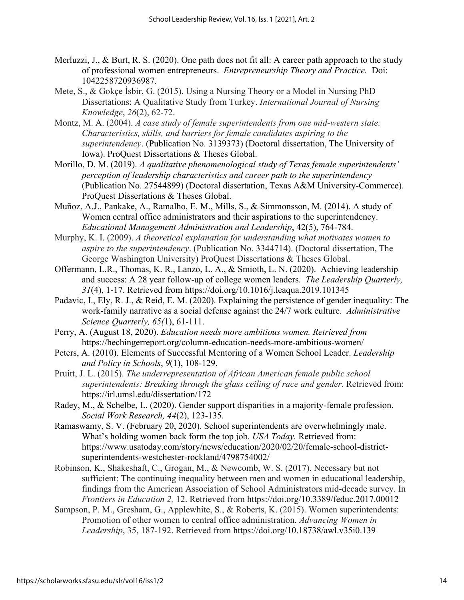- Merluzzi, J., & Burt, R. S. (2020). One path does not fit all: A career path approach to the study of professional women entrepreneurs. *Entrepreneurship Theory and Practice.* Doi: 1042258720936987.
- Mete, S., & Gokçe İsbir, G. (2015). Using a Nursing Theory or a Model in Nursing PhD Dissertations: A Qualitative Study from Turkey. *International Journal of Nursing Knowledge*, *26*(2), 62-72.
- Montz, M. A. (2004). *A case study of female superintendents from one mid-western state: Characteristics, skills, and barriers for female candidates aspiring to the superintendency*. (Publication No. 3139373) (Doctoral dissertation, The University of Iowa). ProQuest Dissertations & Theses Global.
- Morillo, D. M. (2019). *A qualitative phenomenological study of Texas female superintendents' perception of leadership characteristics and career path to the superintendency* (Publication No. 27544899) (Doctoral dissertation, Texas A&M University-Commerce). ProQuest Dissertations & Theses Global.
- Muñoz, A.J., Pankake, A., Ramalho, E. M., Mills, S., & Simmonsson, M. (2014). A study of Women central office administrators and their aspirations to the superintendency. *Educational Management Administration and Leadership*, 42(5), 764-784.
- Murphy, K. I. (2009). *A theoretical explanation for understanding what motivates women to aspire to the superintendency*. (Publication No. 3344714). (Doctoral dissertation, The George Washington University) ProQuest Dissertations & Theses Global.
- Offermann, L.R., Thomas, K. R., Lanzo, L. A., & Smioth, L. N. (2020). Achieving leadership and success: A 28 year follow-up of college women leaders. *The Leadership Quarterly, 31*(4), 1-17. Retrieved from <https://doi.org/10.1016/j.leaqua.2019.101345>
- Padavic, I., Ely, R. J., & Reid, E. M. (2020). Explaining the persistence of gender inequality: The work-family narrative as a social defense against the 24/7 work culture. *Administrative Science Quarterly, 65(*1), 61-111.
- Perry, A. (August 18, 2020). *Education needs more ambitious women. Retrieved from* <https://hechingerreport.org/column-education-needs-more-ambitious-women/>
- Peters, A. (2010). Elements of Successful Mentoring of a Women School Leader. *Leadership and Policy in Schools*, *9*(1), 108-129.
- Pruitt, J. L. (2015). *The underrepresentation of African American female public school superintendents: Breaking through the glass ceiling of race and gender*. Retrieved from: <https://irl.umsl.edu/dissertation/172>
- Radey, M., & Schelbe, L. (2020). Gender support disparities in a majority-female profession. *Social Work Research, 44*(2), 123-135.
- Ramaswamy, S. V. (February 20, 2020). School superintendents are overwhelmingly male. What's holding women back form the top job. *USA Today.* Retrieved from: https://www.usatoday.com/story/news/education/2020/02/20/female-school-districtsuperintendents-westchester-rockland/4798754002/
- Robinson, K., Shakeshaft, C., Grogan, M., & Newcomb, W. S. (2017). Necessary but not sufficient: The continuing inequality between men and women in educational leadership, findings from the American Association of School Administrators mid-decade survey. In *F*r*ontiers in Education 2,* 12. Retrieved from<https://doi.org/10.3389/feduc.2017.00012>
- Sampson, P. M., Gresham, G., Applewhite, S., & Roberts, K. (2015). Women superintendents: Promotion of other women to central office administration. *Advancing Women in Leadership*, 35, 187-192. Retrieved from <https://doi.org/10.18738/awl.v35i0.139>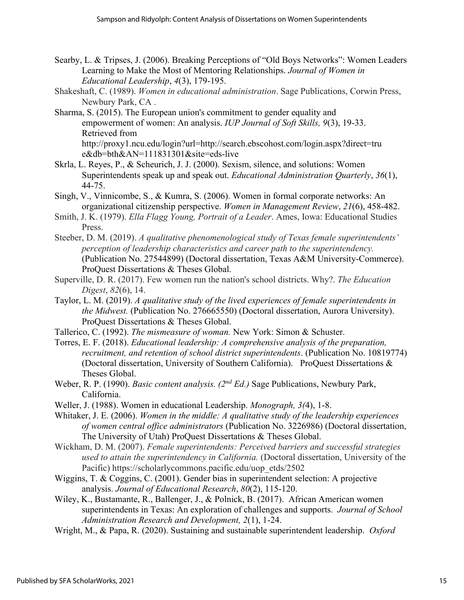- Searby, L. & Tripses, J. (2006). Breaking Perceptions of "Old Boys Networks": Women Leaders Learning to Make the Most of Mentoring Relationships. *Journal of Women in Educational Leadership*, *4*(3), 179-195.
- Shakeshaft, C. (1989). *Women in educational administration*. Sage Publications, Corwin Press, Newbury Park, CA .
- Sharma, S. (2015). The European union's commitment to gender equality and empowerment of women: An analysis. *IUP Journal of Soft Skills, 9*(3), 19-33. Retrieved from <http://proxy1.ncu.edu/login?url=http://search.ebscohost.com/login.aspx?direct=tru> e&db=bth&AN=111831301&site=eds-live
- Skrla, L. Reyes, P., & Scheurich, J. J. (2000). Sexism, silence, and solutions: Women Superintendents speak up and speak out. *Educational Administration Quarterly*, *36*(1), 44-75.
- Singh, V., Vinnicombe, S., & Kumra, S. (2006). Women in formal corporate networks: An organizational citizenship perspective. *Women in Management Review*, *21*(6), 458-482.
- Smith, J. K. (1979). *Ella Flagg Young, Portrait of a Leader*. Ames, Iowa: Educational Studies Press.
- Steeber, D. M. (2019). *A qualitative phenomenological study of Texas female superintendents' perception of leadership characteristics and career path to the superintendency.* (Publication No. 27544899) (Doctoral dissertation, Texas A&M University-Commerce). ProQuest Dissertations & Theses Global.
- Superville, D. R. (2017). Few women run the nation's school districts. Why?. *The Education Digest*, *82*(6), 14.
- Taylor, L. M. (2019). *A qualitative study of the lived experiences of female superintendents in the Midwest.* (Publication No. 276665550) (Doctoral dissertation, Aurora University). ProQuest Dissertations & Theses Global.
- Tallerico, C. (1992). *The mismeasure of woman.* New York: Simon & Schuster.
- Torres, E. F. (2018). *Educational leadership: A comprehensive analysis of the preparation, recruitment, and retention of school district superintendents*. (Publication No. 10819774) (Doctoral dissertation, University of Southern California). ProQuest Dissertations & Theses Global.
- Weber, R. P. (1990). *Basic content analysis. (2nd Ed.)* Sage Publications, Newbury Park, California.
- Weller, J. (1988). Women in educational Leadership. *Monograph, 3(*4), 1-8.

Whitaker, J. E. (2006). *Women in the middle: A qualitative study of the leadership experiences of women central office administrators* (Publication No. 3226986) (Doctoral dissertation, The University of Utah) ProQuest Dissertations & Theses Global.

- Wickham, D. M. (2007). *Female superintendents: Perceived barriers and successful strategies used to attain the superintendency in California.* (Doctoral dissertation, University of the Pacific) https://scholarlycommons.pacific.edu/uop\_etds/2502
- Wiggins, T. & Coggins, C. (2001). Gender bias in superintendent selection: A projective analysis. *Journal of Educational Research*, *80*(2), 115-120.
- Wiley, K., Bustamante, R., Ballenger, J., & Polnick, B. (2017). African American women superintendents in Texas: An exploration of challenges and supports. *Journal of School Administration Research and Development, 2*(1), 1-24.
- Wright, M., & Papa, R. (2020). Sustaining and sustainable superintendent leadership. *Oxford*